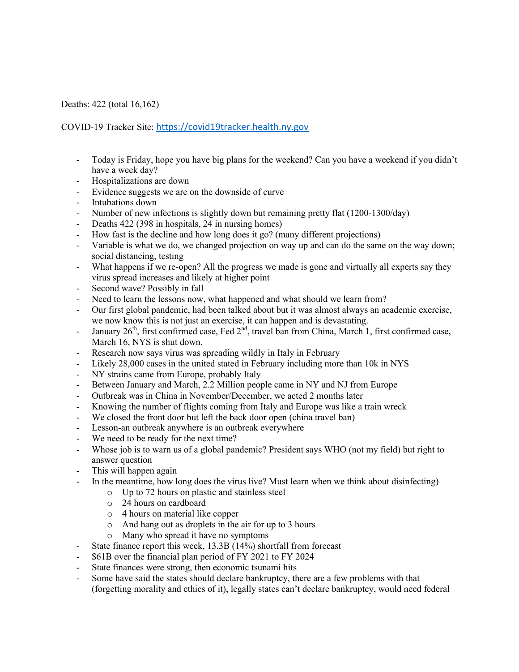Deaths: 422 (total 16,162)

COVID-19 Tracker Site: https://covid19tracker.health.ny.gov

- Today is Friday, hope you have big plans for the weekend? Can you have a weekend if you didn't have a week day?
- Hospitalizations are down
- Evidence suggests we are on the downside of curve
- Intubations down
- Number of new infections is slightly down but remaining pretty flat (1200-1300/day)
- Deaths 422 (398 in hospitals, 24 in nursing homes)
- How fast is the decline and how long does it go? (many different projections)
- Variable is what we do, we changed projection on way up and can do the same on the way down; social distancing, testing
- What happens if we re-open? All the progress we made is gone and virtually all experts say they virus spread increases and likely at higher point
- Second wave? Possibly in fall
- Need to learn the lessons now, what happened and what should we learn from?
- Our first global pandemic, had been talked about but it was almost always an academic exercise, we now know this is not just an exercise, it can happen and is devastating.
- January 26<sup>th</sup>, first confirmed case, Fed 2<sup>nd</sup>, travel ban from China, March 1, first confirmed case, March 16, NYS is shut down.
- Research now says virus was spreading wildly in Italy in February
- Likely 28,000 cases in the united stated in February including more than 10k in NYS
- NY strains came from Europe, probably Italy
- Between January and March, 2.2 Million people came in NY and NJ from Europe
- Outbreak was in China in November/December, we acted 2 months later
- Knowing the number of flights coming from Italy and Europe was like a train wreck
- We closed the front door but left the back door open (china travel ban)
- Lesson-an outbreak anywhere is an outbreak everywhere
- We need to be ready for the next time?
- Whose job is to warn us of a global pandemic? President says WHO (not my field) but right to answer question
- This will happen again
- In the meantime, how long does the virus live? Must learn when we think about disinfecting)
	- o Up to 72 hours on plastic and stainless steel
	- o 24 hours on cardboard
	- o 4 hours on material like copper
	- o And hang out as droplets in the air for up to 3 hours
	- o Many who spread it have no symptoms
- State finance report this week,  $13.3B(14\%)$  shortfall from forecast
- \$61B over the financial plan period of FY 2021 to FY 2024
- State finances were strong, then economic tsunami hits
- Some have said the states should declare bankruptcy, there are a few problems with that (forgetting morality and ethics of it), legally states can't declare bankruptcy, would need federal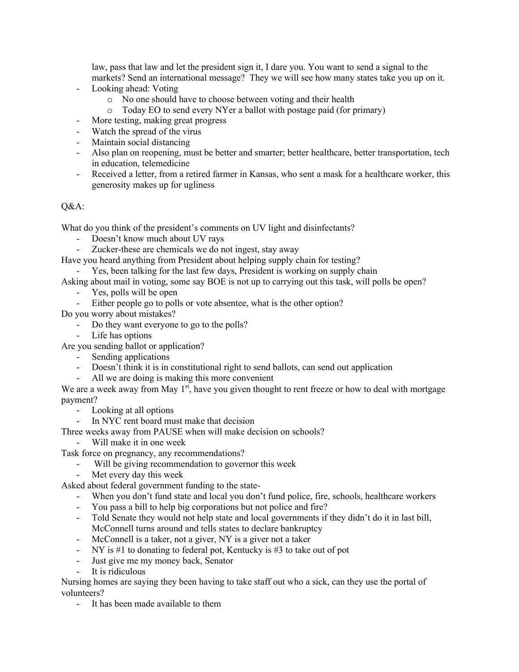law, pass that law and let the president sign it, I dare you. You want to send a signal to the markets? Send an international message? They we will see how many states take you up on it.

- Looking ahead: Voting
	- o No one should have to choose between voting and their health
	- o Today EO to send every NYer a ballot with postage paid (for primary)
- More testing, making great progress
- Watch the spread of the virus
- Maintain social distancing
- Also plan on reopening, must be better and smarter; better healthcare, better transportation, tech in education, telemedicine
- Received a letter, from a retired farmer in Kansas, who sent a mask for a healthcare worker, this generosity makes up for ugliness

## Q&A:

What do you think of the president's comments on UV light and disinfectants?

- Doesn't know much about UV rays
- Zucker-these are chemicals we do not ingest, stay away
- Have you heard anything from President about helping supply chain for testing?
	- Yes, been talking for the last few days, President is working on supply chain
- Asking about mail in voting, some say BOE is not up to carrying out this task, will polls be open?
	- Yes, polls will be open
	- Either people go to polls or vote absentee, what is the other option?
- Do you worry about mistakes?
	- Do they want everyone to go to the polls?
	- Life has options
- Are you sending ballot or application?
	- Sending applications
	- Doesn't think it is in constitutional right to send ballots, can send out application
	- All we are doing is making this more convenient

We are a week away from May  $1<sup>st</sup>$ , have you given thought to rent freeze or how to deal with mortgage payment?

- Looking at all options

- In NYC rent board must make that decision
- Three weeks away from PAUSE when will make decision on schools?
	- Will make it in one week

Task force on pregnancy, any recommendations?

- Will be giving recommendation to governor this week
- Met every day this week

Asked about federal government funding to the state-

- When you don't fund state and local you don't fund police, fire, schools, healthcare workers
- You pass a bill to help big corporations but not police and fire?
- Told Senate they would not help state and local governments if they didn't do it in last bill, McConnell turns around and tells states to declare bankruptcy
- McConnell is a taker, not a giver, NY is a giver not a taker
- NY is #1 to donating to federal pot, Kentucky is #3 to take out of pot
- Just give me my money back, Senator
- It is ridiculous

Nursing homes are saying they been having to take staff out who a sick, can they use the portal of volunteers?

- It has been made available to them